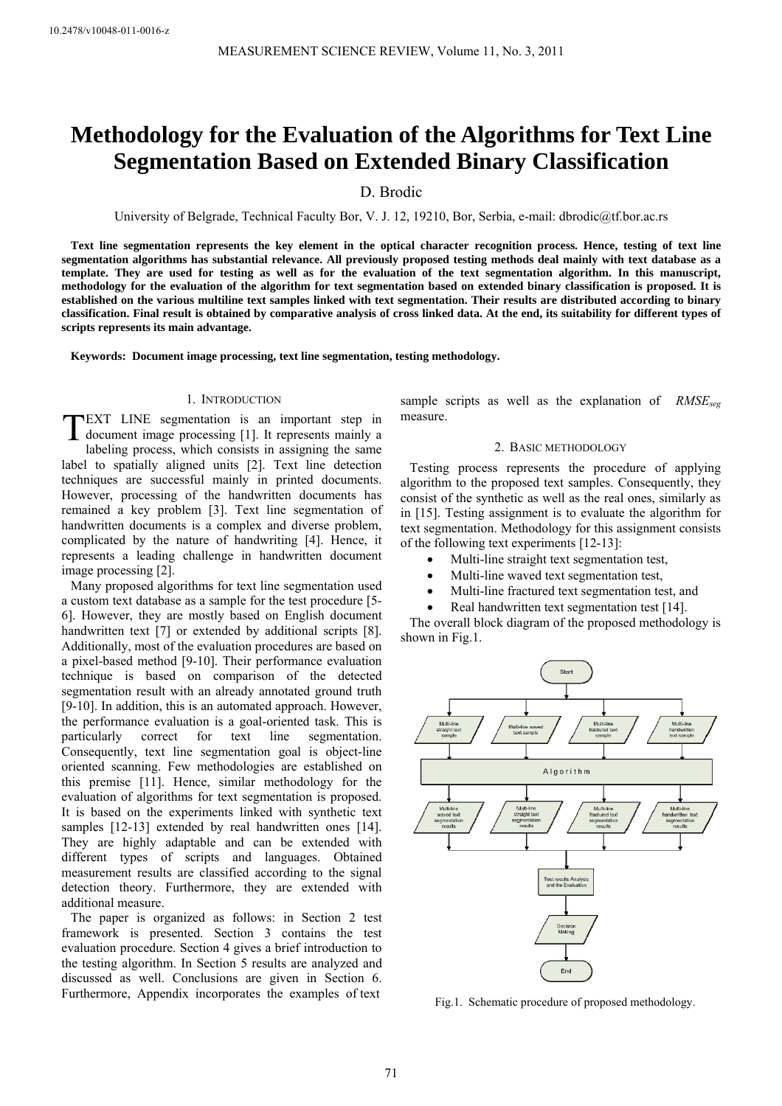# **Methodology for the Evaluation of the Algorithms for Text Line Segmentation Based on Extended Binary Classification**

D. Brodic

University of Belgrade, Technical Faculty Bor, V. J. 12, 19210, Bor, Serbia, e-mail: dbrodic@tf.bor.ac.rs

**Text line segmentation represents the key element in the optical character recognition process. Hence, testing of text line segmentation algorithms has substantial relevance. All previously proposed testing methods deal mainly with text database as a template. They are used for testing as well as for the evaluation of the text segmentation algorithm. In this manuscript, methodology for the evaluation of the algorithm for text segmentation based on extended binary classification is proposed. It is established on the various multiline text samples linked with text segmentation. Their results are distributed according to binary classification. Final result is obtained by comparative analysis of cross linked data. At the end, its suitability for different types of scripts represents its main advantage.** 

**Keywords: Document image processing, text line segmentation, testing methodology.**

# 1. INTRODUCTION

**TEXT LINE** segmentation is an important step in document image processing [1]. It represents mainly a document image processing [1]. It represents mainly a

labeling process, which consists in assigning the same label to spatially aligned units [2]. Text line detection techniques are successful mainly in printed documents. However, processing of the handwritten documents has remained a key problem [3]. Text line segmentation of handwritten documents is a complex and diverse problem, complicated by the nature of handwriting [4]. Hence, it represents a leading challenge in handwritten document image processing [2].

Many proposed algorithms for text line segmentation used a custom text database as a sample for the test procedure [5- 6]. However, they are mostly based on English document handwritten text [7] or extended by additional scripts [8]. Additionally, most of the evaluation procedures are based on a pixel-based method [9-10]. Their performance evaluation technique is based on comparison of the detected segmentation result with an already annotated ground truth [9-10]. In addition, this is an automated approach. However, the performance evaluation is a goal-oriented task. This is particularly correct for text line segmentation. Consequently, text line segmentation goal is object-line oriented scanning. Few methodologies are established on this premise [11]. Hence, similar methodology for the evaluation of algorithms for text segmentation is proposed. It is based on the experiments linked with synthetic text samples [12-13] extended by real handwritten ones [14]. They are highly adaptable and can be extended with different types of scripts and languages. Obtained measurement results are classified according to the signal detection theory. Furthermore, they are extended with additional measure.

The paper is organized as follows: in Section 2 test framework is presented. Section 3 contains the test evaluation procedure. Section 4 gives a brief introduction to the testing algorithm. In Section 5 results are analyzed and discussed as well. Conclusions are given in Section 6. Furthermore, Appendix incorporates the examples of text

sample scripts as well as the explanation of *RMSE<sub>seg</sub>* measure.

#### 2. BASIC METHODOLOGY

Testing process represents the procedure of applying algorithm to the proposed text samples. Consequently, they consist of the synthetic as well as the real ones, similarly as in [15]. Testing assignment is to evaluate the algorithm for text segmentation. Methodology for this assignment consists of the following text experiments [12-13]:

- Multi-line straight text segmentation test,
- Multi-line waved text segmentation test,
- Multi-line fractured text segmentation test, and
- Real handwritten text segmentation test [14].

The overall block diagram of the proposed methodology is shown in Fig.1.



Fig.1. Schematic procedure of proposed methodology.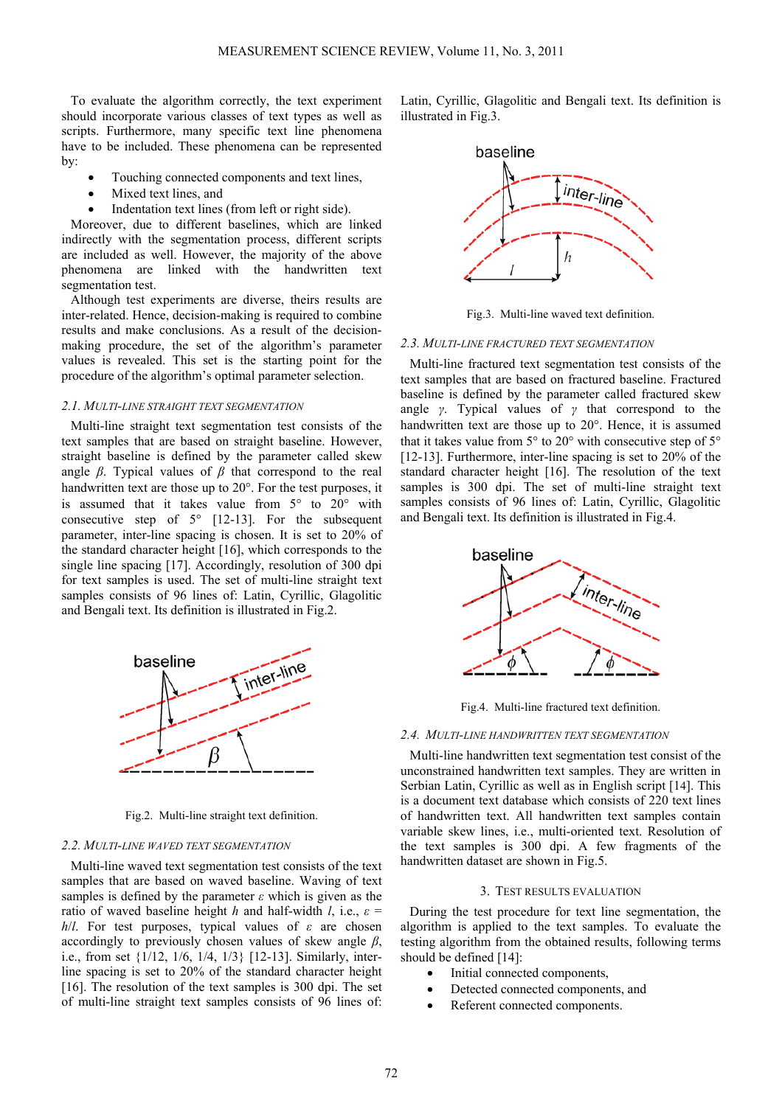To evaluate the algorithm correctly, the text experiment should incorporate various classes of text types as well as scripts. Furthermore, many specific text line phenomena have to be included. These phenomena can be represented by:

- Touching connected components and text lines.
	- Mixed text lines, and
- Indentation text lines (from left or right side).

Moreover, due to different baselines, which are linked indirectly with the segmentation process, different scripts are included as well. However, the majority of the above phenomena are linked with the handwritten text segmentation test.

Although test experiments are diverse, theirs results are inter-related. Hence, decision-making is required to combine results and make conclusions. As a result of the decisionmaking procedure, the set of the algorithm's parameter values is revealed. This set is the starting point for the procedure of the algorithm's optimal parameter selection.

## *2.1. MULTI-LINE STRAIGHT TEXT SEGMENTATION*

Multi-line straight text segmentation test consists of the text samples that are based on straight baseline. However, straight baseline is defined by the parameter called skew angle *β*. Typical values of *β* that correspond to the real handwritten text are those up to 20°. For the test purposes, it is assumed that it takes value from 5° to 20° with consecutive step of  $5^{\circ}$  [12-13]. For the subsequent parameter, inter-line spacing is chosen. It is set to 20% of the standard character height [16], which corresponds to the single line spacing [17]. Accordingly, resolution of 300 dpi for text samples is used. The set of multi-line straight text samples consists of 96 lines of: Latin, Cyrillic, Glagolitic and Bengali text. Its definition is illustrated in Fig.2.



Fig.2. Multi-line straight text definition.

# *2.2. MULTI-LINE WAVED TEXT SEGMENTATION*

Multi-line waved text segmentation test consists of the text samples that are based on waved baseline. Waving of text samples is defined by the parameter *ε* which is given as the ratio of waved baseline height *h* and half-width *l*, i.e.,  $\varepsilon$  = *h*/*l*. For test purposes, typical values of *ε* are chosen accordingly to previously chosen values of skew angle *β*, i.e., from set {1/12, 1/6, 1/4, 1/3} [12-13]. Similarly, interline spacing is set to 20% of the standard character height [16]. The resolution of the text samples is 300 dpi. The set of multi-line straight text samples consists of 96 lines of:

Latin, Cyrillic, Glagolitic and Bengali text. Its definition is illustrated in Fig.3.



Fig.3. Multi-line waved text definition.

### *2.3. MULTI-LINE FRACTURED TEXT SEGMENTATION*

Multi-line fractured text segmentation test consists of the text samples that are based on fractured baseline. Fractured baseline is defined by the parameter called fractured skew angle *γ*. Typical values of *γ* that correspond to the handwritten text are those up to 20°. Hence, it is assumed that it takes value from 5° to 20° with consecutive step of 5° [12-13]. Furthermore, inter-line spacing is set to 20% of the standard character height [16]. The resolution of the text samples is 300 dpi. The set of multi-line straight text samples consists of 96 lines of: Latin, Cyrillic, Glagolitic and Bengali text. Its definition is illustrated in Fig.4.



Fig.4. Multi-line fractured text definition.

## *2.4. MULTI-LINE HANDWRITTEN TEXT SEGMENTATION*

Multi-line handwritten text segmentation test consist of the unconstrained handwritten text samples. They are written in Serbian Latin, Cyrillic as well as in English script [14]. This is a document text database which consists of 220 text lines of handwritten text. All handwritten text samples contain variable skew lines, i.e., multi-oriented text. Resolution of the text samples is 300 dpi. A few fragments of the handwritten dataset are shown in Fig.5.

## 3. TEST RESULTS EVALUATION

During the test procedure for text line segmentation, the algorithm is applied to the text samples. To evaluate the testing algorithm from the obtained results, following terms should be defined [14]:

- Initial connected components,
- Detected connected components, and
- Referent connected components.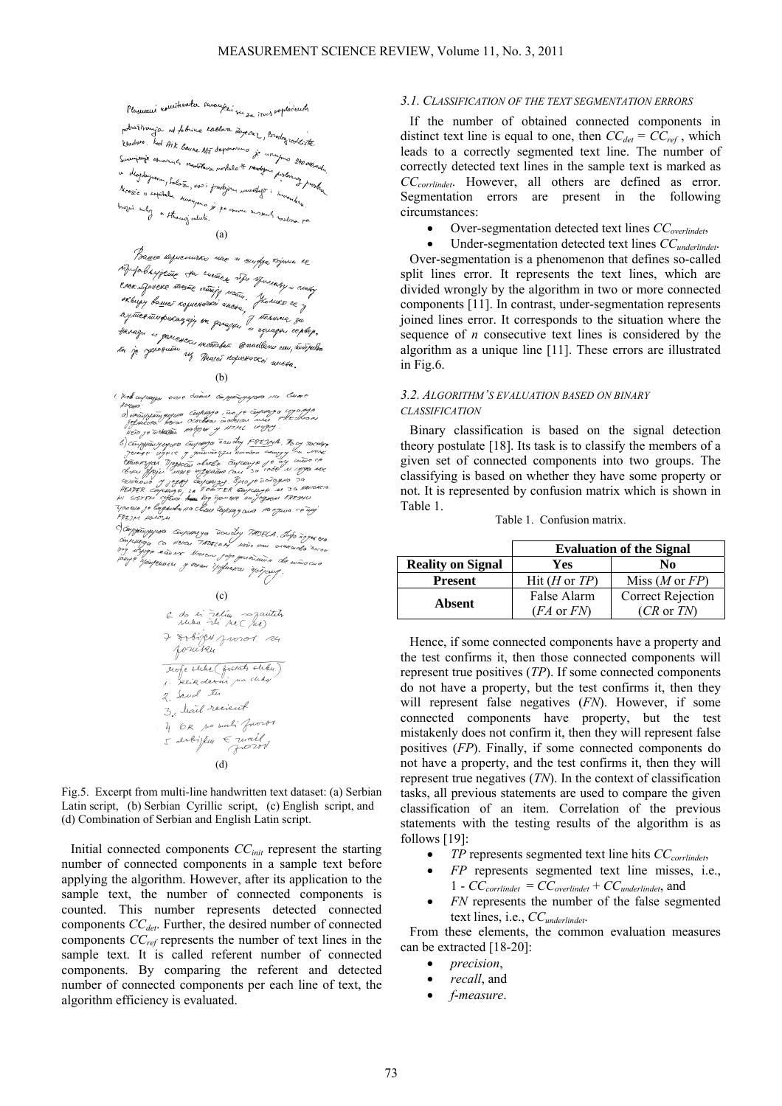Plasmani romitevata suomisen su za irves vaplacents

potrafiliania od febrica Kaldara Zopecki, Brodogrooktiste l'adors led Aix banne M5 departers je un Survive of the basic My department of . u Mojdayson Salosa, vostava norbelo & mady Mossie u expiratu suavana prodajne<br>Mossie u expiratu suavana je po on<br>trozui suboz u pr I see u sopitalu surayano.<br>Inozui suboz u stranoz valuta. (a)

Prace copiemino não n surfix rojena es I messe responsiven and a surfer rejected to I Presence for means and agreement and ay tuentumpukanyin mana 1 karuwa 3a ta je ryssowanie wszerodni consellenu cou,

#### (b)

1. Жев сиротура може биет странущено на Сенье

komp;<br>o pompingujejo cintapo , in je injenija i vojne<br>o pompingujejo osobni indensi una vrednom<br>koo je interiji naton je 11710. u vojn

refundant bears continued in the case of the continued of the second theorem and the continued of the second of the second of the second of the second of the second of the second of the second of the second of the second o

1923) + 401054.<br>- Companyjons Emperinges Townly The A. Top 2014 62<br>- Company Ca. 40104 The COM notes now charactes to company<br>- Polyte Mayonom + here top protections to the mass case. g Camaro Monera papa pusatuata de<br>Mayennes y neas trafussas epigony



Fig.5. Excerpt from multi-line handwritten text dataset: (a) Serbian Latin script, (b) Serbian Cyrillic script, (c) English script, and (d) Combination of Serbian and English Latin script.

Initial connected components *CCinit* represent the starting number of connected components in a sample text before applying the algorithm. However, after its application to the sample text, the number of connected components is counted. This number represents detected connected components *CC<sub>det</sub>*. Further, the desired number of connected components *CCref* represents the number of text lines in the sample text. It is called referent number of connected components. By comparing the referent and detected number of connected components per each line of text, the algorithm efficiency is evaluated.

## *3.1. CLASSIFICATION OF THE TEXT SEGMENTATION ERRORS*

If the number of obtained connected components in distinct text line is equal to one, then  $CC_{det} = CC_{ref}$ , which leads to a correctly segmented text line. The number of correctly detected text lines in the sample text is marked as *CCcorrlindet*. However, all others are defined as error. Segmentation errors are present in the following circumstances:

- Over-segmentation detected text lines *CCoverlindet*,
- Under-segmentation detected text lines *CCunderlindet*.

Over-segmentation is a phenomenon that defines so-called split lines error. It represents the text lines, which are divided wrongly by the algorithm in two or more connected components [11]. In contrast, under-segmentation represents joined lines error. It corresponds to the situation where the sequence of *n* consecutive text lines is considered by the algorithm as a unique line [11]. These errors are illustrated in Fig.6.

# *3.2. ALGORITHM'S EVALUATION BASED ON BINARY CLASSIFICATION*

Binary classification is based on the signal detection theory postulate [18]. Its task is to classify the members of a given set of connected components into two groups. The classifying is based on whether they have some property or not. It is represented by confusion matrix which is shown in Table 1.

| Table 1. Confusion matrix. |  |
|----------------------------|--|
|                            |  |

|                          | <b>Evaluation of the Signal</b> |                           |  |  |  |
|--------------------------|---------------------------------|---------------------------|--|--|--|
| <b>Reality on Signal</b> | Yes                             | No                        |  |  |  |
| <b>Present</b>           | Hit(H or TP)                    | Miss $(M \text{ or } FP)$ |  |  |  |
| Absent                   | False Alarm                     | <b>Correct Rejection</b>  |  |  |  |
|                          | $(FA \text{ or } FN)$           | $(CR \t{or} TN)$          |  |  |  |

Hence, if some connected components have a property and the test confirms it, then those connected components will represent true positives (*TP*). If some connected components do not have a property, but the test confirms it, then they will represent false negatives (*FN*). However, if some connected components have property, but the test mistakenly does not confirm it, then they will represent false positives (*FP*). Finally, if some connected components do not have a property, and the test confirms it, then they will represent true negatives (*TN*). In the context of classification tasks, all previous statements are used to compare the given classification of an item. Correlation of the previous statements with the testing results of the algorithm is as follows [19]:

- *TP* represents segmented text line hits *CCcorrlindet*,
- *FP* represents segmented text line misses, i.e., 1 - *CCcorrlindet* = *CCoverlindet* + *CCunderlindet*, and
- *FN* represents the number of the false segmented text lines, i.e., *CCunderlindet*.

From these elements, the common evaluation measures can be extracted [18-20]:

- *precision*,
- *recall*, and
- *f*-*measure*.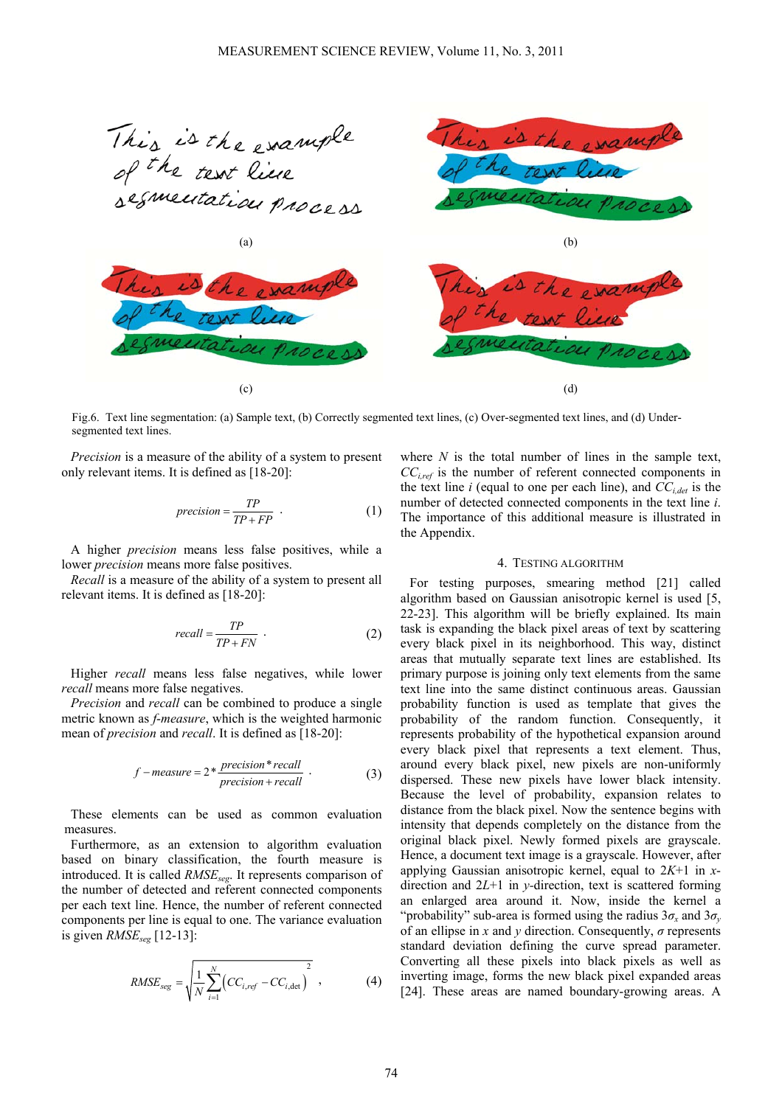

Fig.6. Text line segmentation: (a) Sample text, (b) Correctly segmented text lines, (c) Over-segmented text lines, and (d) Undersegmented text lines.

*Precision* is a measure of the ability of a system to present only relevant items. It is defined as [18-20]:

$$
precision = \frac{TP}{TP + FP} \tag{1}
$$

A higher *precision* means less false positives, while a lower *precision* means more false positives.

*Recall* is a measure of the ability of a system to present all relevant items. It is defined as [18-20]:

$$
recall = \frac{TP}{TP + FN} \tag{2}
$$

Higher *recall* means less false negatives, while lower *recall* means more false negatives.

*Precision* and *recall* can be combined to produce a single metric known as *f*-*measure*, which is the weighted harmonic mean of *precision* and *recall*. It is defined as [18-20]:

$$
f-measure = 2 * \frac{precision * recall}{precision + recall}
$$
 (3)

These elements can be used as common evaluation measures.

Furthermore, as an extension to algorithm evaluation based on binary classification, the fourth measure is introduced. It is called *RMSEseg*. It represents comparison of the number of detected and referent connected components per each text line. Hence, the number of referent connected components per line is equal to one. The variance evaluation is given *RMSEseg* [12-13]:

$$
RMSE_{seg} = \sqrt{\frac{1}{N} \sum_{i=1}^{N} \left( CC_{i,ref} - CC_{i,\text{det}} \right)^2}, \qquad (4)
$$

where *N* is the total number of lines in the sample text, *CCi,ref* is the number of referent connected components in the text line  $i$  (equal to one per each line), and  $CC_{i,det}$  is the number of detected connected components in the text line *i*. The importance of this additional measure is illustrated in the Appendix.

#### 4. TESTING ALGORITHM

For testing purposes, smearing method [21] called algorithm based on Gaussian anisotropic kernel is used [5, 22-23]. This algorithm will be briefly explained. Its main task is expanding the black pixel areas of text by scattering every black pixel in its neighborhood. This way, distinct areas that mutually separate text lines are established. Its primary purpose is joining only text elements from the same text line into the same distinct continuous areas. Gaussian probability function is used as template that gives the probability of the random function. Consequently, it represents probability of the hypothetical expansion around every black pixel that represents a text element. Thus, around every black pixel, new pixels are non-uniformly dispersed. These new pixels have lower black intensity. Because the level of probability, expansion relates to distance from the black pixel. Now the sentence begins with intensity that depends completely on the distance from the original black pixel. Newly formed pixels are grayscale. Hence, a document text image is a grayscale. However, after applying Gaussian anisotropic kernel, equal to 2*K*+1 in *x*direction and 2*L*+1 in *y-*direction, text is scattered forming an enlarged area around it. Now, inside the kernel a "probability" sub-area is formed using the radius  $3\sigma_x$  and  $3\sigma_y$ of an ellipse in *x* and *y* direction. Consequently, *σ* represents standard deviation defining the curve spread parameter. Converting all these pixels into black pixels as well as inverting image, forms the new black pixel expanded areas [24]. These areas are named boundary-growing areas. A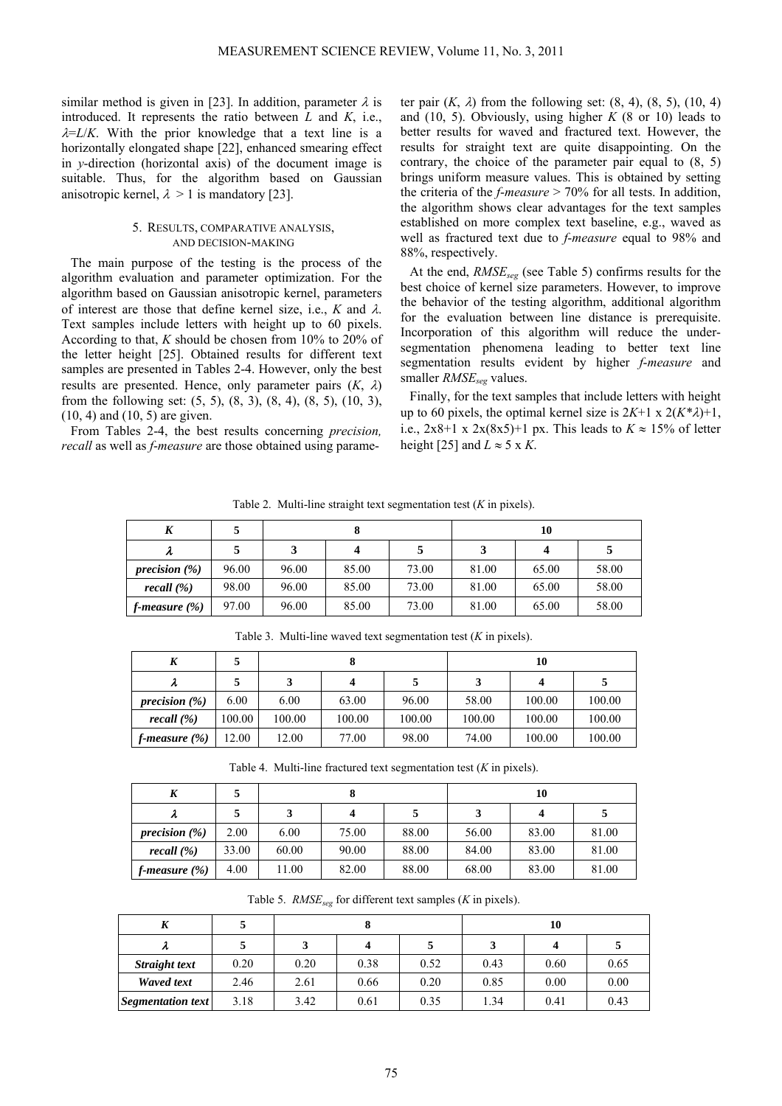similar method is given in [23]. In addition, parameter  $\lambda$  is introduced. It represents the ratio between *L* and *K*, i.e.,  $\lambda = L/K$ . With the prior knowledge that a text line is a horizontally elongated shape [22], enhanced smearing effect in *y*-direction (horizontal axis) of the document image is suitable. Thus, for the algorithm based on Gaussian anisotropic kernel,  $\lambda > 1$  is mandatory [23].

## 5. RESULTS, COMPARATIVE ANALYSIS, AND DECISION-MAKING

The main purpose of the testing is the process of the algorithm evaluation and parameter optimization. For the algorithm based on Gaussian anisotropic kernel, parameters of interest are those that define kernel size, i.e., *K* and λ. Text samples include letters with height up to 60 pixels. According to that, *K* should be chosen from 10% to 20% of the letter height [25]. Obtained results for different text samples are presented in Tables 2-4. However, only the best results are presented. Hence, only parameter pairs  $(K, \lambda)$ from the following set: (5, 5), (8, 3), (8, 4), (8, 5), (10, 3), (10, 4) and (10, 5) are given.

From Tables 2-4, the best results concerning *precision, recall* as well as *f*-*measure* are those obtained using parameter pair  $(K, \lambda)$  from the following set:  $(8, 4)$ ,  $(8, 5)$ ,  $(10, 4)$ and (10, 5). Obviously, using higher *K* (8 or 10) leads to better results for waved and fractured text. However, the results for straight text are quite disappointing. On the contrary, the choice of the parameter pair equal to (8, 5) brings uniform measure values. This is obtained by setting the criteria of the *f*-*measure* > 70% for all tests. In addition, the algorithm shows clear advantages for the text samples established on more complex text baseline, e.g., waved as well as fractured text due to *f*-*measure* equal to 98% and 88%, respectively.

At the end, *RMSEseg* (see Table 5) confirms results for the best choice of kernel size parameters. However, to improve the behavior of the testing algorithm, additional algorithm for the evaluation between line distance is prerequisite. Incorporation of this algorithm will reduce the undersegmentation phenomena leading to better text line segmentation results evident by higher *f*-*measure* and smaller *RMSE<sub>seg</sub>* values.

Finally, for the text samples that include letters with height up to 60 pixels, the optimal kernel size is  $2K+1 \times 2(K^*\lambda)+1$ , i.e.,  $2x8+1 \times 2x(8x5)+1$  px. This leads to  $K \approx 15\%$  of letter height [25] and  $L \approx 5 \times K$ .

| K                |       |       |       |       |       | 10    |       |
|------------------|-------|-------|-------|-------|-------|-------|-------|
| λ                |       | 3     | 4     |       | 3     |       |       |
| precision $(\%)$ | 96.00 | 96.00 | 85.00 | 73.00 | 81.00 | 65.00 | 58.00 |
| recall $(\% )$   | 98.00 | 96.00 | 85.00 | 73.00 | 81.00 | 65.00 | 58.00 |
| f-measure $(\%)$ | 97.00 | 96.00 | 85.00 | 73.00 | 81.00 | 65.00 | 58.00 |

Table 2. Multi-line straight text segmentation test (*K* in pixels).

Table 3. Multi-line waved text segmentation test (*K* in pixels).

| K                | 5      |        |        |        | 10     |        |        |
|------------------|--------|--------|--------|--------|--------|--------|--------|
| λ                |        |        |        |        |        |        |        |
| precision $(\%)$ | 6.00   | 6.00   | 63.00  | 96.00  | 58.00  | 100.00 | 100.00 |
| recall $(\% )$   | 100.00 | 100.00 | 100.00 | 100.00 | 100.00 | 100.00 | 100.00 |
| f-measure $(\%)$ | 12.00  | 12.00  | 77.00  | 98.00  | 74.00  | 100.00 | 100.00 |

Table 4. Multi-line fractured text segmentation test (*K* in pixels).

| K                |       |       |       |       | 10    |       |       |
|------------------|-------|-------|-------|-------|-------|-------|-------|
| λ                |       |       | 4     |       |       |       |       |
| precision $(\%)$ | 2.00  | 6.00  | 75.00 | 88.00 | 56.00 | 83.00 | 81.00 |
| recall $(\% )$   | 33.00 | 60.00 | 90.00 | 88.00 | 84.00 | 83.00 | 81.00 |
| f-measure $(\%)$ | 4.00  | 11.00 | 82.00 | 88.00 | 68.00 | 83.00 | 81.00 |

Table 5. *RMSE<sub>seg</sub>* for different text samples (*K* in pixels).

| л                 |      |      |      |      |      | 10   |      |
|-------------------|------|------|------|------|------|------|------|
| λ                 |      |      |      |      |      |      |      |
| Straight text     | 0.20 | 0.20 | 0.38 | 0.52 | 0.43 | 0.60 | 0.65 |
| Waved text        | 2.46 | 2.61 | 0.66 | 0.20 | 0.85 | 0.00 | 0.00 |
| Segmentation text | 3.18 | 3.42 | 0.61 | 0.35 | 1.34 | 0.41 | 0.43 |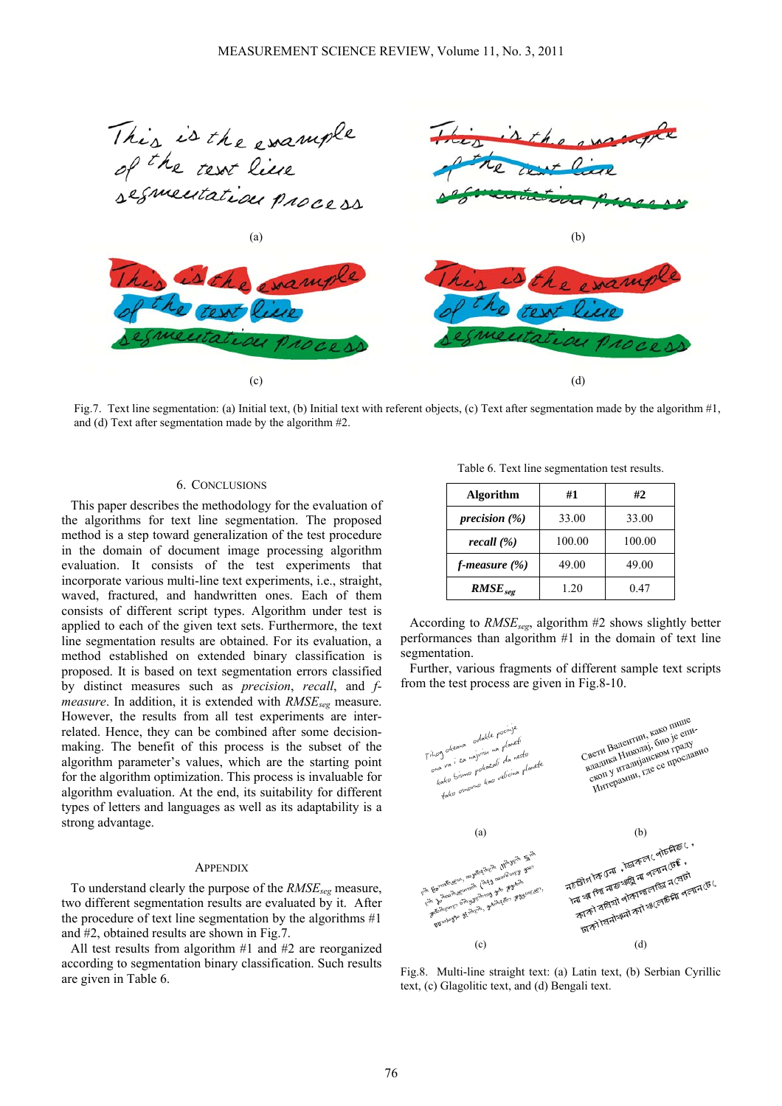

Fig.7. Text line segmentation: (a) Initial text, (b) Initial text with referent objects, (c) Text after segmentation made by the algorithm  $\#1$ , and (d) Text after segmentation made by the algorithm #2.

# 6. CONCLUSIONS

This paper describes the methodology for the evaluation of the algorithms for text line segmentation. The proposed method is a step toward generalization of the test procedure in the domain of document image processing algorithm evaluation. It consists of the test experiments that incorporate various multi-line text experiments, i.e., straight, waved, fractured, and handwritten ones. Each of them consists of different script types. Algorithm under test is applied to each of the given text sets. Furthermore, the text line segmentation results are obtained. For its evaluation, a method established on extended binary classification is proposed. It is based on text segmentation errors classified by distinct measures such as *precision*, *recall*, and *fmeasure*. In addition, it is extended with *RMSE<sub>seg</sub>* measure. However, the results from all test experiments are interrelated. Hence, they can be combined after some decisionmaking. The benefit of this process is the subset of the algorithm parameter's values, which are the starting point for the algorithm optimization. This process is invaluable for algorithm evaluation. At the end, its suitability for different types of letters and languages as well as its adaptability is a strong advantage.

## **APPENDIX**

To understand clearly the purpose of the *RMSEseg* measure, two different segmentation results are evaluated by it. After the procedure of text line segmentation by the algorithms #1 and #2, obtained results are shown in Fig.7.

All test results from algorithm #1 and #2 are reorganized according to segmentation binary classification. Such results are given in Table 6.

Table 6. Text line segmentation test results.

| <b>Algorithm</b>  | #1     | #2     |
|-------------------|--------|--------|
| precision $(\%)$  | 33.00  | 33.00  |
| recall (%)        | 100.00 | 100.00 |
| f-measure $(\% )$ | 49.00  | 49.00  |
| $RMSE_{seg}$      | 1.20   | 0.47   |

According to *RMSEseg*, algorithm #2 shows slightly better performances than algorithm #1 in the domain of text line segmentation.

Further, various fragments of different sample text scripts from the test process are given in Fig.8-10.



Fig.8. Multi-line straight text: (a) Latin text, (b) Serbian Cyrillic text, (c) Glagolitic text, and (d) Bengali text.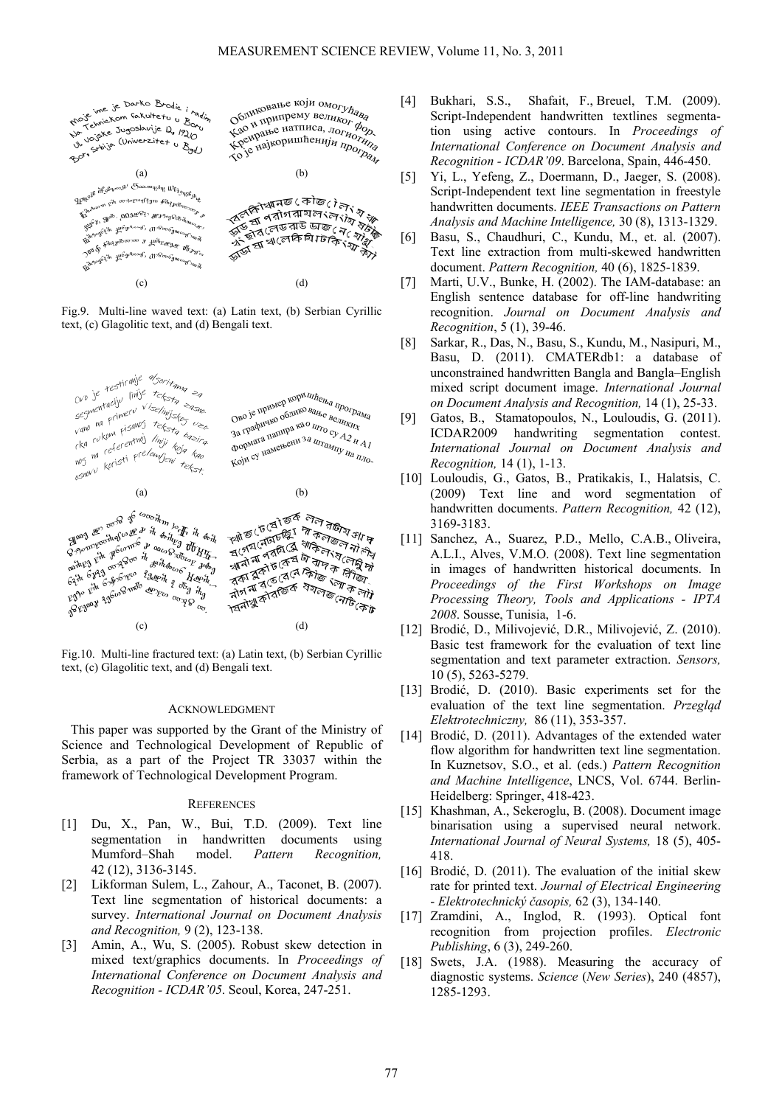

Fig.9. Multi-line waved text: (a) Latin text, (b) Serbian Cyrillic text, (c) Glagolitic text, and (d) Bengali text.



Fig.10. Multi-line fractured text: (a) Latin text, (b) Serbian Cyrillic text, (c) Glagolitic text, and (d) Bengali text.

#### ACKNOWLEDGMENT

This paper was supported by the Grant of the Ministry of Science and Technological Development of Republic of Serbia, as a part of the Project TR 33037 within the framework of Technological Development Program.

#### **REFERENCES**

- [1] Du, X., Pan, W., Bui, T.D. (2009). Text line segmentation in handwritten documents using Mumford–Shah model. *Pattern Recognition,* 42 (12), 3136-3145.
- [2] Likforman Sulem, L., Zahour, A., Taconet, B. (2007). Text line segmentation of historical documents: a survey. *International Journal on Document Analysis and Recognition,* 9 (2), 123-138.
- [3] Amin, A., Wu, S. (2005). Robust skew detection in mixed text/graphics documents. In *Proceedings of International Conference on Document Analysis and Recognition - ICDAR'05*. Seoul, Korea, 247-251.
- [4] Bukhari, S.S., Shafait, F., Breuel, T.M. (2009). Script-Independent handwritten textlines segmentation using active contours. In *Proceedings of International Conference on Document Analysis and Recognition - ICDAR'09*. Barcelona, Spain, 446-450.
- [5] Yi, L., Yefeng, Z., Doermann, D., Jaeger, S. (2008). Script-Independent text line segmentation in freestyle handwritten documents. *IEEE Transactions on Pattern Analysis and Machine Intelligence,* 30 (8), 1313-1329.
- [6] Basu, S., Chaudhuri, C., Kundu, M., et. al. (2007). Text line extraction from multi-skewed handwritten document. *Pattern Recognition,* 40 (6), 1825-1839.
- [7] Marti, U.V., Bunke, H. (2002). The IAM-database: an English sentence database for off-line handwriting recognition. *Journal on Document Analysis and Recognition*, 5 (1), 39-46.
- [8] Sarkar, R., Das, N., Basu, S., Kundu, M., Nasipuri, M., Basu, D. (2011). CMATERdb1: a database of unconstrained handwritten Bangla and Bangla–English mixed script document image. *International Journal on Document Analysis and Recognition,* 14 (1), 25-33.
- [9] Gatos, B., Stamatopoulos, N., Louloudis, G. (2011). ICDAR2009 handwriting segmentation contest. *International Journal on Document Analysis and Recognition,* 14 (1), 1-13.
- [10] Louloudis, G., Gatos, B., Pratikakis, I., Halatsis, C. (2009) Text line and word segmentation of handwritten documents. *Pattern Recognition,* 42 (12), 3169-3183.
- [11] Sanchez, A., Suarez, P.D., Mello, C.A.B., Oliveira, A.L.I., Alves, V.M.O. (2008). Text line segmentation in images of handwritten historical documents. In *Proceedings of the First Workshops on Image Processing Theory, Tools and Applications - IPTA 2008*. Sousse, Tunisia, 1-6.
- [12] Brodić, D., Milivojević, D.R., Milivojević, Z. (2010). Basic test framework for the evaluation of text line segmentation and text parameter extraction. *Sensors,* 10 (5), 5263-5279.
- [13] Brodić, D. (2010). Basic experiments set for the evaluation of the text line segmentation. *Przegląd Elektrotechniczny,* 86 (11), 353-357.
- [14] Brodić, D. (2011). Advantages of the extended water flow algorithm for handwritten text line segmentation. In Kuznetsov, S.O., et al. (eds.) *Pattern Recognition and Machine Intelligence*, LNCS, Vol. 6744. Berlin-Heidelberg: Springer, 418-423.
- [15] Khashman, A., Sekeroglu, B. (2008). Document image binarisation using a supervised neural network. *International Journal of Neural Systems,* 18 (5), 405- 418.
- [16] Brodić, D. (2011). The evaluation of the initial skew rate for printed text. *Journal of Electrical Engineering*  - *Elektrotechnický časopis,* 62 (3), 134-140.
- [17] Zramdini, A., Inglod, R. (1993). Optical font recognition from projection profiles. *Electronic Publishing*, 6 (3), 249-260.
- [18] Swets, J.A. (1988). Measuring the accuracy of diagnostic systems. *Science* (*New Series*), 240 (4857), 1285-1293.